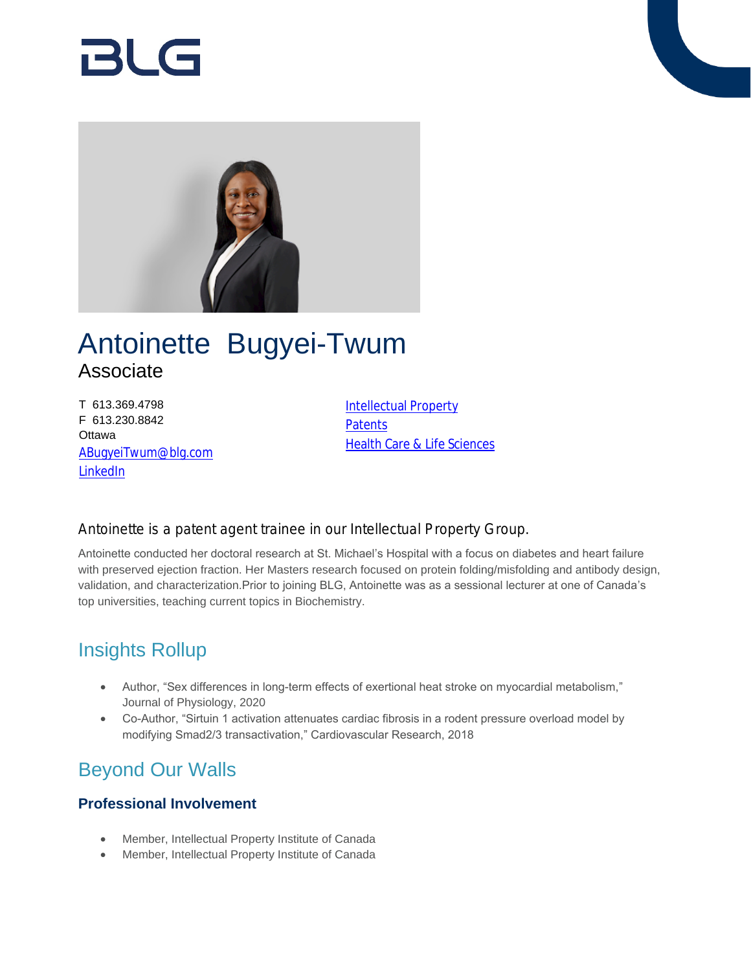# RI G



## Antoinette Bugyei-Twum Associate

T 613.369.4798 F 613.230.8842 **Ottawa** [ABugyeiTwum@blg.com](mailto:ABugyeiTwum@blg.com) [LinkedIn](https://ca.linkedin.com/in/antoinette-bugyei-twum)

[Intellectual Property](https://www.blg.com/en/services/practice-areas/intellectual-property) **[Patents](https://www.blg.com/en/services/practice-areas/intellectual-property/patents) [Health Care & Life Sciences](https://www.blg.com/en/services/industries/health-care-life-sciences)** 

#### Antoinette is a patent agent trainee in our Intellectual Property Group.

Antoinette conducted her doctoral research at St. Michael's Hospital with a focus on diabetes and heart failure with preserved ejection fraction. Her Masters research focused on protein folding/misfolding and antibody design, validation, and characterization.Prior to joining BLG, Antoinette was as a sessional lecturer at one of Canada's top universities, teaching current topics in Biochemistry.

### Insights Rollup

- Author, "Sex differences in long-term effects of exertional heat stroke on myocardial metabolism," Journal of Physiology, 2020
- Co-Author, "Sirtuin 1 activation attenuates cardiac fibrosis in a rodent pressure overload model by modifying Smad2/3 transactivation," Cardiovascular Research, 2018

## Beyond Our Walls

#### **Professional Involvement**

- Member, Intellectual Property Institute of Canada
- Member, Intellectual Property Institute of Canada